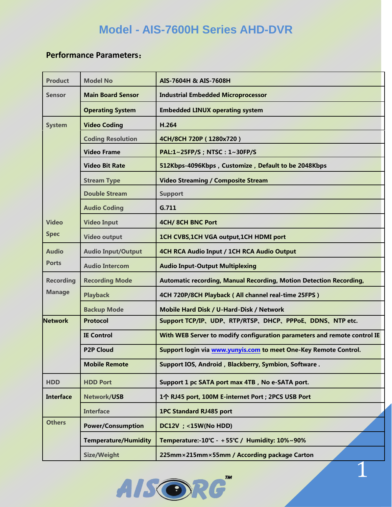## **Model - AIS-7600H Series AHD-DVR**

## **Performance Parameters**:

| <b>Product</b>   | <b>Model No</b>             | AIS-7604H & AIS-7608H                                                    |
|------------------|-----------------------------|--------------------------------------------------------------------------|
| <b>Sensor</b>    | <b>Main Board Sensor</b>    | <b>Industrial Embedded Microprocessor</b>                                |
|                  | <b>Operating System</b>     | <b>Embedded LINUX operating system</b>                                   |
| <b>System</b>    | <b>Video Coding</b>         | H.264                                                                    |
|                  | <b>Coding Resolution</b>    | 4CH/8CH 720P (1280x720)                                                  |
|                  | <b>Video Frame</b>          | PAL:1~25FP/S; NTSC: 1~30FP/S                                             |
|                  | <b>Video Bit Rate</b>       | 512Kbps-4096Kbps, Customize, Default to be 2048Kbps                      |
|                  | <b>Stream Type</b>          | <b>Video Streaming / Composite Stream</b>                                |
|                  | <b>Double Stream</b>        | <b>Support</b>                                                           |
|                  | <b>Audio Coding</b>         | G.711                                                                    |
| <b>Video</b>     | <b>Video Input</b>          | 4CH/8CH BNC Port                                                         |
| <b>Spec</b>      | <b>Video output</b>         | 1CH CVBS, 1CH VGA output, 1CH HDMI port                                  |
| <b>Audio</b>     | <b>Audio Input/Output</b>   | 4CH RCA Audio Input / 1CH RCA Audio Output                               |
| <b>Ports</b>     | <b>Audio Intercom</b>       | <b>Audio Input-Output Multiplexing</b>                                   |
| <b>Recording</b> | <b>Recording Mode</b>       | Automatic recording, Manual Recording, Motion Detection Recording,       |
| <b>Manage</b>    | <b>Playback</b>             | 4CH 720P/8CH Playback (All channel real-time 25FPS)                      |
|                  | <b>Backup Mode</b>          | Mobile Hard Disk / U-Hard-Disk / Network                                 |
| <b>Network</b>   | <b>Protocol</b>             | Support TCP/IP, UDP, RTP/RTSP, DHCP, PPPoE, DDNS, NTP etc.               |
|                  | <b>IE Control</b>           | With WEB Server to modify configuration parameters and remote control IE |
|                  | <b>P2P Cloud</b>            | Support login via www.yunyis.com to meet One-Key Remote Control.         |
|                  | <b>Mobile Remote</b>        | Support IOS, Android, Blackberry, Symbion, Software.                     |
| <b>HDD</b>       | <b>HDD Port</b>             | Support 1 pc SATA port max 4TB, No e-SATA port.                          |
| <b>Interface</b> | Network/USB                 | 1个 RJ45 port, 100M E-internet Port ; 2PCS USB Port                       |
|                  | <b>Interface</b>            | <b>1PC Standard RJ485 port</b>                                           |
| <b>Others</b>    | <b>Power/Consumption</b>    | <b>DC12V</b> ; <15W(No HDD)                                              |
|                  | <b>Temperature/Humidity</b> | Temperature:-10℃ - +55℃ / Humidity: 10%~90%                              |
|                  | Size/Weight                 | 225mm×215mm×55mm / According package Carton                              |

1